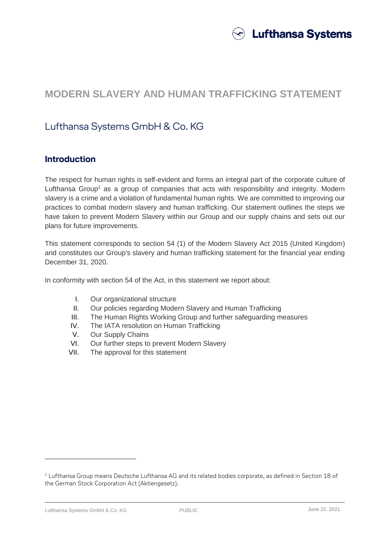

# **MODERN SLAVERY AND HUMAN TRAFFICKING STATEMENT**

# Lufthansa Systems GmbH & Co. KG

## **Introduction**

The respect for human rights is self-evident and forms an integral part of the corporate culture of Lufthansa Group<sup>1</sup> as a group of companies that acts with responsibility and integrity. Modern slavery is a crime and a violation of fundamental human rights. We are committed to improving our practices to combat modern slavery and human trafficking. Our statement outlines the steps we have taken to prevent Modern Slavery within our Group and our supply chains and sets out our plans for future improvements.

This statement corresponds to section 54 (1) of the Modern Slavery Act 2015 (United Kingdom) and constitutes our Group's slavery and human trafficking statement for the financial year ending December 31, 2020.

In conformity with section 54 of the Act, in this statement we report about:

- I. Our organizational structure
- II. Our policies regarding Modern Slavery and Human Trafficking
- III. The Human Rights Working Group and further safeguarding measures
- IV. The IATA resolution on Human Trafficking
- V. Our Supply Chains
- VI. Our further steps to prevent Modern Slavery
- VII. The approval for this statement

Lufthansa Systems GmbH & Co. KG PUBLIC June 22, 2021

 $\overline{a}$ 

 $1$  Lufthansa Group means Deutsche Lufthansa AG and its related bodies corporate, as defined in Section 18 of the German Stock Corporation Act (Aktiengesetz).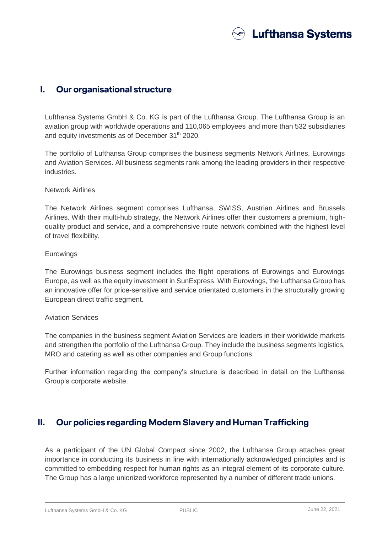

#### **I. Our organisational structure**

Lufthansa Systems GmbH & Co. KG is part of the Lufthansa Group. The Lufthansa Group is an aviation group with worldwide operations and 110,065 employees and more than 532 subsidiaries and equity investments as of December 31<sup>th</sup> 2020.

The portfolio of Lufthansa Group comprises the business segments Network Airlines, Eurowings and Aviation Services. All business segments rank among the leading providers in their respective industries.

#### Network Airlines

The Network Airlines segment comprises Lufthansa, SWISS, Austrian Airlines and Brussels Airlines. With their multi-hub strategy, the Network Airlines offer their customers a premium, highquality product and service, and a comprehensive route network combined with the highest level of travel flexibility.

#### **Eurowings**

The Eurowings business segment includes the flight operations of Eurowings and Eurowings Europe, as well as the equity investment in SunExpress. With Eurowings, the Lufthansa Group has an innovative offer for price-sensitive and service orientated customers in the structurally growing European direct traffic segment.

#### Aviation Services

The companies in the business segment Aviation Services are leaders in their worldwide markets and strengthen the portfolio of the Lufthansa Group. They include the business segments logistics, MRO and catering as well as other companies and Group functions.

Further information regarding the company's structure is described in detail on the Lufthansa Group's corporate website.

### **II. Our policies regarding Modern Slavery and Human Trafficking**

As a participant of the UN Global Compact since 2002, the Lufthansa Group attaches great importance in conducting its business in line with internationally acknowledged principles and is committed to embedding respect for human rights as an integral element of its corporate culture. The Group has a large unionized workforce represented by a number of different trade unions.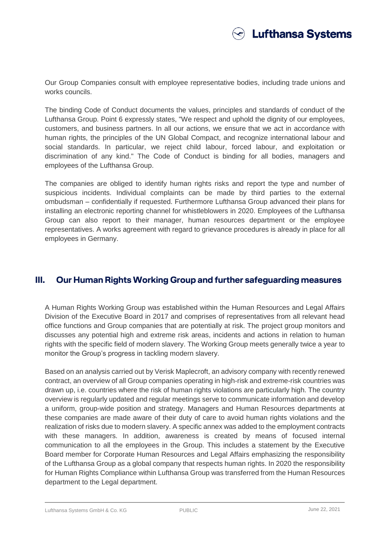

Our Group Companies consult with employee representative bodies, including trade unions and works councils.

The binding Code of Conduct documents the values, principles and standards of conduct of the Lufthansa Group. Point 6 expressly states, "We respect and uphold the dignity of our employees, customers, and business partners. In all our actions, we ensure that we act in accordance with human rights, the principles of the UN Global Compact, and recognize international labour and social standards. In particular, we reject child labour, forced labour, and exploitation or discrimination of any kind." The Code of Conduct is binding for all bodies, managers and employees of the Lufthansa Group.

The companies are obliged to identify human rights risks and report the type and number of suspicious incidents. Individual complaints can be made by third parties to the external ombudsman – confidentially if requested. Furthermore Lufthansa Group advanced their plans for installing an electronic reporting channel for whistleblowers in 2020. Employees of the Lufthansa Group can also report to their manager, human resources department or the employee representatives. A works agreement with regard to grievance procedures is already in place for all employees in Germany.

### **III. Our Human Rights Working Group and further safeguarding measures**

A Human Rights Working Group was established within the Human Resources and Legal Affairs Division of the Executive Board in 2017 and comprises of representatives from all relevant head office functions and Group companies that are potentially at risk. The project group monitors and discusses any potential high and extreme risk areas, incidents and actions in relation to human rights with the specific field of modern slavery. The Working Group meets generally twice a year to monitor the Group's progress in tackling modern slavery.

Based on an analysis carried out by Verisk Maplecroft, an advisory company with recently renewed contract, an overview of all Group companies operating in high-risk and extreme-risk countries was drawn up, i.e. countries where the risk of human rights violations are particularly high. The country overview is regularly updated and regular meetings serve to communicate information and develop a uniform, group-wide position and strategy. Managers and Human Resources departments at these companies are made aware of their duty of care to avoid human rights violations and the realization of risks due to modern slavery. A specific annex was added to the employment contracts with these managers. In addition, awareness is created by means of focused internal communication to all the employees in the Group. This includes a statement by the Executive Board member for Corporate Human Resources and Legal Affairs emphasizing the responsibility of the Lufthansa Group as a global company that respects human rights. In 2020 the responsibility for Human Rights Compliance within Lufthansa Group was transferred from the Human Resources department to the Legal department.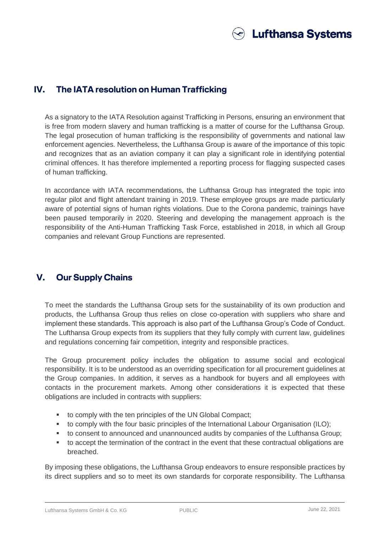

## **IV. The IATA resolution on Human Trafficking**

As a signatory to the IATA Resolution against Trafficking in Persons, ensuring an environment that is free from modern slavery and human trafficking is a matter of course for the Lufthansa Group. The legal prosecution of human trafficking is the responsibility of governments and national law enforcement agencies. Nevertheless, the Lufthansa Group is aware of the importance of this topic and recognizes that as an aviation company it can play a significant role in identifying potential criminal offences. It has therefore implemented a reporting process for flagging suspected cases of human trafficking.

In accordance with IATA recommendations, the Lufthansa Group has integrated the topic into regular pilot and flight attendant training in 2019. These employee groups are made particularly aware of potential signs of human rights violations. Due to the Corona pandemic, trainings have been paused temporarily in 2020. Steering and developing the management approach is the responsibility of the Anti-Human Trafficking Task Force, established in 2018, in which all Group companies and relevant Group Functions are represented.

# **V. Our Supply Chains**

To meet the standards the Lufthansa Group sets for the sustainability of its own production and products, the Lufthansa Group thus relies on close co-operation with suppliers who share and implement these standards. This approach is also part of the Lufthansa Group's Code of Conduct. The Lufthansa Group expects from its suppliers that they fully comply with current law, guidelines and regulations concerning fair competition, integrity and responsible practices.

The Group procurement policy includes the obligation to assume social and ecological responsibility. It is to be understood as an overriding specification for all procurement guidelines at the Group companies. In addition, it serves as a handbook for buyers and all employees with contacts in the procurement markets. Among other considerations it is expected that these obligations are included in contracts with suppliers:

- to comply with the ten principles of the UN Global Compact;
- to comply with the four basic principles of the International Labour Organisation (ILO);
- to consent to announced and unannounced audits by companies of the Lufthansa Group;
- to accept the termination of the contract in the event that these contractual obligations are breached.

By imposing these obligations, the Lufthansa Group endeavors to ensure responsible practices by its direct suppliers and so to meet its own standards for corporate responsibility. The Lufthansa